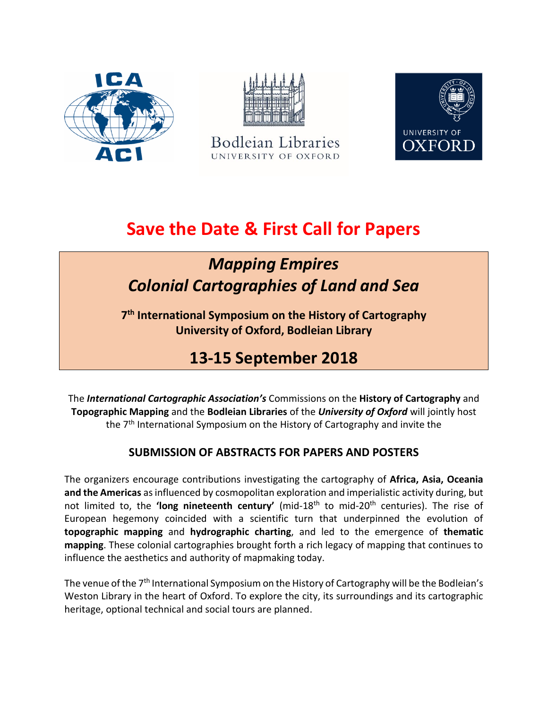



**Bodleian Libraries** UNIVERSITY OF OXFORD



# **Save the Date & First Call for Papers**

# *Mapping Empires Colonial Cartographies of Land and Sea*

**7 th International Symposium on the History of Cartography University of Oxford, Bodleian Library**

### **13-15 September 2018**

The *International Cartographic Association's* Commissions on the **History of Cartography** and **Topographic Mapping** and the **Bodleian Libraries** of the *University of Oxford* will jointly host the 7<sup>th</sup> International Symposium on the History of Cartography and invite the

#### **SUBMISSION OF ABSTRACTS FOR PAPERS AND POSTERS**

The organizers encourage contributions investigating the cartography of **Africa, Asia, Oceania and the Americas** as influenced by cosmopolitan exploration and imperialistic activity during, but not limited to, the **'long nineteenth century'** (mid-18th to mid-20th centuries). The rise of European hegemony coincided with a scientific turn that underpinned the evolution of **topographic mapping** and **hydrographic charting**, and led to the emergence of **thematic mapping**. These colonial cartographies brought forth a rich legacy of mapping that continues to influence the aesthetics and authority of mapmaking today.

The venue of the 7<sup>th</sup> International Symposium on the History of Cartography will be the Bodleian's Weston Library in the heart of Oxford. To explore the city, its surroundings and its cartographic heritage, optional technical and social tours are planned.